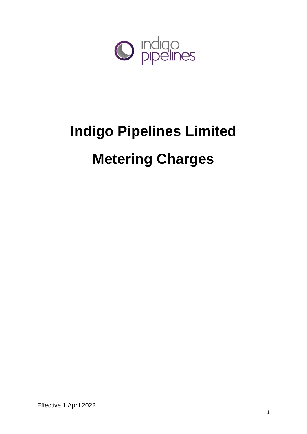

# **Indigo Pipelines Limited Metering Charges**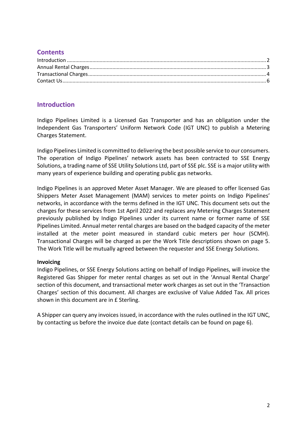# **Contents**

# <span id="page-1-0"></span>**Introduction**

Indigo Pipelines Limited is a Licensed Gas Transporter and has an obligation under the Independent Gas Transporters' Uniform Network Code (IGT UNC) to publish a Metering Charges Statement.

Indigo Pipelines Limited is committed to delivering the best possible service to our consumers. The operation of Indigo Pipelines' network assets has been contracted to SSE Energy Solutions, a trading name of SSE Utility Solutions Ltd, part of SSE plc. SSE is a major utility with many years of experience building and operating public gas networks.

Indigo Pipelines is an approved Meter Asset Manager. We are pleased to offer licensed Gas Shippers Meter Asset Management (MAM) services to meter points on Indigo Pipelines' networks, in accordance with the terms defined in the IGT UNC. This document sets out the charges for these services from 1st April 2022 and replaces any Metering Charges Statement previously published by Indigo Pipelines under its current name or former name of SSE Pipelines Limited. Annual meter rental charges are based on the badged capacity of the meter installed at the meter point measured in standard cubic meters per hour (SCMH). Transactional Charges will be charged as per the Work Title descriptions shown on page 5. The Work Title will be mutually agreed between the requester and SSE Energy Solutions.

#### **Invoicing**

Indigo Pipelines, or SSE Energy Solutions acting on behalf of Indigo Pipelines, will invoice the Registered Gas Shipper for meter rental charges as set out in the 'Annual Rental Charge' section of this document, and transactional meter work charges as set out in the 'Transaction Charges' section of this document. All charges are exclusive of Value Added Tax. All prices shown in this document are in £ Sterling.

A Shipper can query any invoices issued, in accordance with the rules outlined in the IGT UNC, by contacting us before the invoice due date (contact details can be found on page 6).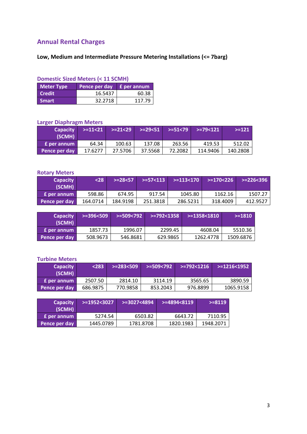# <span id="page-2-0"></span>**Annual Rental Charges**

# **Low, Medium and Intermediate Pressure Metering Installations (<= 7barg)**

#### **Domestic Sized Meters (< 11 SCMH)**

<span id="page-2-1"></span>

| <b>Meter Type</b> | Pence per day E per annum |        |
|-------------------|---------------------------|--------|
| <b>Credit</b>     | 16.5437                   | 60.38  |
| ∣ Smart           | 32.2718                   | 117.79 |

### **Larger Diaphragm Meters**

| <b>Capacity</b><br>(SCMH) | $> = 11 < 21$ | $> = 21 < 29$ |         | $> = 29 < 51$ $> = 51 < 79$ | >=79<121 | $> = 121$ |
|---------------------------|---------------|---------------|---------|-----------------------------|----------|-----------|
| <b>E</b> per annum        | 64.34         | 100.63        | 137.08  | 263.56                      | 419.53   | 512.02    |
| Pence per day             | 17.6277       | 27.5706       | 37.5568 | 72.2082                     | 114.9406 | 140.2808  |

#### **Rotary Meters**

| <b>Capacity</b><br>(SCMH) | $28$     | $> = 28 < 57$ | $> = 57 < 113$ | $> = 113 < 170$ | $> = 170 < 226$ | $> = 226 < 396$ |
|---------------------------|----------|---------------|----------------|-----------------|-----------------|-----------------|
| <b>E</b> per annum        | 598.86   | 674.95        | 917.54         | 1045.80         | 1162.16         | 1507.27         |
| Pence per day             | 164.0714 | 184.9198      | 251.3818       | 286.5231        | 318.4009        | 412.9527        |

| <b>Capacity</b><br>(SCMH) | $> = 396 < 509$ | $> = 509 < 792$ | $> = 792 < 1358$ |           | $> = 1810$ |
|---------------------------|-----------------|-----------------|------------------|-----------|------------|
| <b>E</b> per annum        | 1857.73         | 1996.07         | 2299.45          | 4608.04   | 5510.36    |
| Pence per day             | 508.9673        | 546.8681        | 629.9865         | 1262.4778 | 1509.6876  |

#### **Turbine Meters**

| <b>Capacity</b><br>(SCMH) | $\sim$ 283. | $> = 283 < 509$ | >=509<792 | l >=792<1216' | >=1216<1952 |
|---------------------------|-------------|-----------------|-----------|---------------|-------------|
| <b>f</b> per annum        | 2507.50     | 2814.10         | 3114.19   | 3565.65       | 3890.59     |
| <b>Pence per day</b>      | 686.9875    | 770.9858        | 853.2043  | 976.8899      | 1065.9158   |

| <b>Capacity</b><br>(SCMH) | l>=1952<3027' | $> = 3027 < 4894$ | $> = 4894 < 8119$ | $> = 8119$ |
|---------------------------|---------------|-------------------|-------------------|------------|
| <b>E</b> per annum        | 5274.54       | 6503.82           | 6643.72           | 7110.95    |
| Pence per day             | 1445.0789     | 1781.8708         | 1820.1983         | 1948.2071  |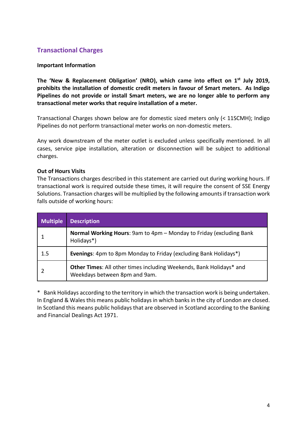# **Transactional Charges**

#### **Important Information**

**The 'New & Replacement Obligation' (NRO), which came into effect on 1st July 2019, prohibits the installation of domestic credit meters in favour of Smart meters. As Indigo Pipelines do not provide or install Smart meters, we are no longer able to perform any transactional meter works that require installation of a meter.**

Transactional Charges shown below are for domestic sized meters only (< 11SCMH); Indigo Pipelines do not perform transactional meter works on non-domestic meters.

Any work downstream of the meter outlet is excluded unless specifically mentioned. In all cases, service pipe installation, alteration or disconnection will be subject to additional charges.

#### **Out of Hours Visits**

The Transactions charges described in this statement are carried out during working hours. If transactional work is required outside these times, it will require the consent of SSE Energy Solutions. Transaction charges will be multiplied by the following amounts if transaction work falls outside of working hours:

| <b>Multiple</b> | <b>Description</b>                                                                                   |
|-----------------|------------------------------------------------------------------------------------------------------|
|                 | <b>Normal Working Hours:</b> 9am to 4pm – Monday to Friday (excluding Bank<br>Holidays*)             |
| 1.5             | Evenings: 4pm to 8pm Monday to Friday (excluding Bank Holidays*)                                     |
|                 | Other Times: All other times including Weekends, Bank Holidays* and<br>Weekdays between 8pm and 9am. |

\* Bank Holidays according to the territory in which the transaction work is being undertaken. In England & Wales this means public holidays in which banks in the city of London are closed. In Scotland this means public holidays that are observed in Scotland according to the Banking and Financial Dealings Act 1971.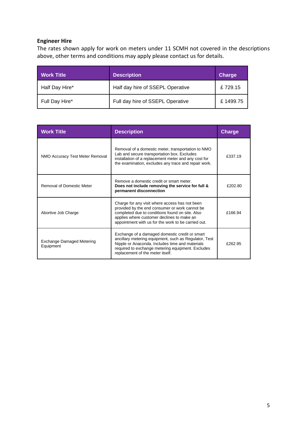# **Engineer Hire**

The rates shown apply for work on meters under 11 SCMH not covered in the descriptions above, other terms and conditions may apply please contact us for details.

| <b>Work Title</b> | <b>Description</b>               | Charge   |
|-------------------|----------------------------------|----------|
| Half Day Hire*    | Half day hire of SSEPL Operative | £729.15  |
| Full Day Hire*    | Full day hire of SSEPL Operative | £1499.75 |

<span id="page-4-0"></span>

| <b>Work Title</b>                             | <b>Description</b>                                                                                                                                                                                                                                       | <b>Charge</b> |
|-----------------------------------------------|----------------------------------------------------------------------------------------------------------------------------------------------------------------------------------------------------------------------------------------------------------|---------------|
| NMO Accuracy Test Meter Removal               | Removal of a domestic meter, transportation to NMO<br>Lab and secure transportation box. Excludes<br>installation of a replacement meter and any cost for<br>the examination, excludes any trace and repair work.                                        | £337.19       |
| Removal of Domestic Meter                     | Remove a domestic credit or smart meter.<br>Does not include removing the service for full &<br>permanent disconnection                                                                                                                                  | £202.80       |
| Abortive Job Charge                           | Charge for any visit where access has not been<br>provided by the end consumer or work cannot be<br>completed due to conditions found on site. Also<br>applies where customer declines to make an<br>appointment with us for the work to be carried out. | £166.94       |
| <b>Exchange Damaged Metering</b><br>Equipment | Exchange of a damaged domestic credit or smart<br>ancillary metering equipment, such as Regulator, Test<br>Nipple or Anaconda. Includes time and materials<br>required to exchange metering equipment. Excludes<br>replacement of the meter itself.      | £262.95       |